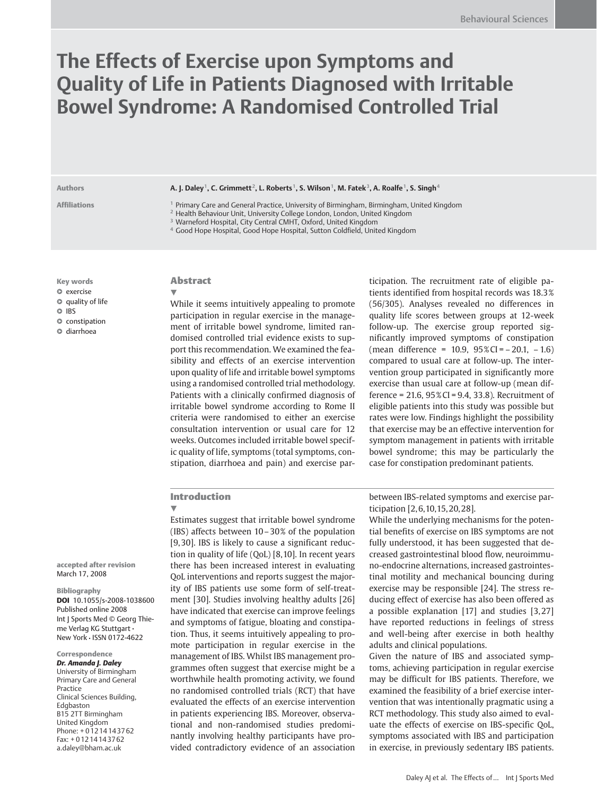# The Effects of Exercise upon Symptoms and Quality of Life in Patients Diagnosed with Irritable Bowel Syndrome: A Randomised Controlled Trial

Authors **A. J. Daley<sup>1</sup>, C. Grimmett<sup>2</sup>, L. Roberts<sup>1</sup>, S. Wilson<sup>1</sup>, M. Fatek<sup>3</sup>, A. Roalfe<sup>1</sup>, S. Singh<sup>4</sup>** 

Affiliations <sup>1</sup> Primary Care and General Practice, University of Birmingham, Birmingham, United Kingdom

<sup>2</sup> Health Behaviour Unit, University College London, London, United Kingdom

<sup>3</sup> Warneford Hospital, City Central CMHT, Oxford, United Kingdom

<sup>4</sup> Good Hope Hospital, Good Hope Hospital, Sutton Coldfield, United Kingdom

Key words  $\circ$  exercise  $\circ$  quality of life  $\circ$  IBS  $\circ$  constipation l " diarrhoea

# Abstract

 $\overline{\mathbf{v}}$ 

While it seems intuitively appealing to promote participation in regular exercise in the management of irritable bowel syndrome, limited randomised controlled trial evidence exists to support this recommendation. We examined the feasibility and effects of an exercise intervention upon quality of life and irritable bowel symptoms using a randomised controlled trial methodology. Patients with a clinically confirmed diagnosis of irritable bowel syndrome according to Rome II criteria were randomised to either an exercise consultation intervention or usual care for 12 weeks. Outcomes included irritable bowel specific quality of life, symptoms (total symptoms, constipation, diarrhoea and pain) and exercise participation. The recruitment rate of eligible patients identified from hospital records was 18.3% (56/305). Analyses revealed no differences in quality life scores between groups at 12-week follow-up. The exercise group reported significantly improved symptoms of constipation (mean difference =  $10.9$ ,  $95\%$ CI =  $-20.1$ ,  $-1.6$ ) compared to usual care at follow-up. The intervention group participated in significantly more exercise than usual care at follow-up (mean difference = 21.6, 95% CI = 9.4, 33.8). Recruitment of eligible patients into this study was possible but rates were low. Findings highlight the possibility that exercise may be an effective intervention for symptom management in patients with irritable bowel syndrome; this may be particularly the case for constipation predominant patients.

## Introduction  $\overline{\mathbf{v}}$

Estimates suggest that irritable bowel syndrome (IBS) affects between 10 – 30% of the population [9, 30]. IBS is likely to cause a significant reduction in quality of life (QoL) [8,10]. In recent years there has been increased interest in evaluating QoL interventions and reports suggest the majority of IBS patients use some form of self-treatment [30]. Studies involving healthy adults [26] have indicated that exercise can improve feelings and symptoms of fatigue, bloating and constipation. Thus, it seems intuitively appealing to promote participation in regular exercise in the management of IBS. Whilst IBS management programmes often suggest that exercise might be a worthwhile health promoting activity, we found no randomised controlled trials (RCT) that have evaluated the effects of an exercise intervention in patients experiencing IBS. Moreover, observational and non-randomised studies predominantly involving healthy participants have provided contradictory evidence of an association

between IBS-related symptoms and exercise participation [2, 6,10,15, 20, 28].

While the underlying mechanisms for the potential benefits of exercise on IBS symptoms are not fully understood, it has been suggested that decreased gastrointestinal blood flow, neuroimmuno-endocrine alternations, increased gastrointestinal motility and mechanical bouncing during exercise may be responsible [24]. The stress reducing effect of exercise has also been offered as a possible explanation [17] and studies [3, 27] have reported reductions in feelings of stress and well-being after exercise in both healthy adults and clinical populations.

Given the nature of IBS and associated symptoms, achieving participation in regular exercise may be difficult for IBS patients. Therefore, we examined the feasibility of a brief exercise intervention that was intentionally pragmatic using a RCT methodology. This study also aimed to evaluate the effects of exercise on IBS-specific QoL, symptoms associated with IBS and participation in exercise, in previously sedentary IBS patients.

University of Birmingham Primary Care and General Practice Clinical Sciences Building, Edgbaston B15 2TT Birmingham United Kingdom Phone: + 0 12 14 14 37 62 Fax: + 0 12 14 14 37 62 a.daley@bham.ac.uk

Correspondence

accepted after revision March 17, 2008 Bibliography

DOI 10.1055/s-2008-1038600 Published online 2008 Int | Sports Med © Georg Thieme Verlag KG Stuttgart • New York • ISSN 0172-4622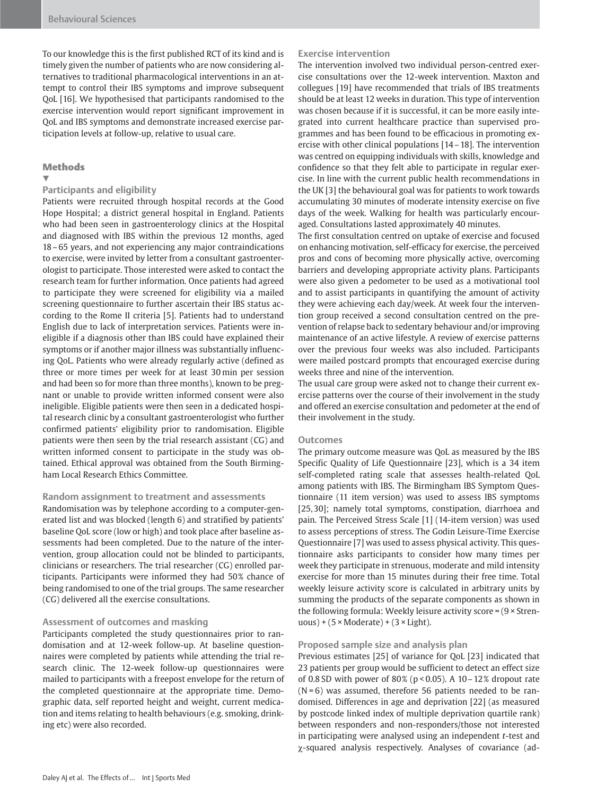To our knowledge this is the first published RCT of its kind and is timely given the number of patients who are now considering alternatives to traditional pharmacological interventions in an attempt to control their IBS symptoms and improve subsequent QoL [16]. We hypothesised that participants randomised to the exercise intervention would report significant improvement in QoL and IBS symptoms and demonstrate increased exercise participation levels at follow-up, relative to usual care.

## **Methods**

#### $\overline{\mathbf{v}}$

# Participants and eligibility

Patients were recruited through hospital records at the Good Hope Hospital; a district general hospital in England. Patients who had been seen in gastroenterology clinics at the Hospital and diagnosed with IBS within the previous 12 months, aged 18 – 65 years, and not experiencing any major contraindications to exercise, were invited by letter from a consultant gastroenterologist to participate. Those interested were asked to contact the research team for further information. Once patients had agreed to participate they were screened for eligibility via a mailed screening questionnaire to further ascertain their IBS status according to the Rome II criteria [5]. Patients had to understand English due to lack of interpretation services. Patients were ineligible if a diagnosis other than IBS could have explained their symptoms or if another major illness was substantially influencing QoL. Patients who were already regularly active (defined as three or more times per week for at least 30 min per session and had been so for more than three months), known to be pregnant or unable to provide written informed consent were also ineligible. Eligible patients were then seen in a dedicated hospital research clinic by a consultant gastroenterologist who further confirmed patients' eligibility prior to randomisation. Eligible patients were then seen by the trial research assistant (CG) and written informed consent to participate in the study was obtained. Ethical approval was obtained from the South Birmingham Local Research Ethics Committee.

# Random assignment to treatment and assessments

Randomisation was by telephone according to a computer-generated list and was blocked (length 6) and stratified by patients' baseline QoL score (low or high) and took place after baseline assessments had been completed. Due to the nature of the intervention, group allocation could not be blinded to participants, clinicians or researchers. The trial researcher (CG) enrolled participants. Participants were informed they had 50% chance of being randomised to one of the trial groups. The same researcher (CG) delivered all the exercise consultations.

## Assessment of outcomes and masking

Participants completed the study questionnaires prior to randomisation and at 12-week follow-up. At baseline questionnaires were completed by patients while attending the trial research clinic. The 12-week follow-up questionnaires were mailed to participants with a freepost envelope for the return of the completed questionnaire at the appropriate time. Demographic data, self reported height and weight, current medication and items relating to health behaviours (e.g. smoking, drinking etc) were also recorded.

## Exercise intervention

The intervention involved two individual person-centred exercise consultations over the 12-week intervention. Maxton and collegues [19] have recommended that trials of IBS treatments should be at least 12 weeks in duration. This type of intervention was chosen because if it is successful, it can be more easily integrated into current healthcare practice than supervised programmes and has been found to be efficacious in promoting exercise with other clinical populations [14 – 18]. The intervention was centred on equipping individuals with skills, knowledge and confidence so that they felt able to participate in regular exercise. In line with the current public health recommendations in the UK [3] the behavioural goal was for patients to work towards accumulating 30 minutes of moderate intensity exercise on five days of the week. Walking for health was particularly encouraged. Consultations lasted approximately 40 minutes.

The first consultation centred on uptake of exercise and focused on enhancing motivation, self-efficacy for exercise, the perceived pros and cons of becoming more physically active, overcoming barriers and developing appropriate activity plans. Participants were also given a pedometer to be used as a motivational tool and to assist participants in quantifying the amount of activity they were achieving each day/week. At week four the intervention group received a second consultation centred on the prevention of relapse back to sedentary behaviour and/or improving maintenance of an active lifestyle. A review of exercise patterns over the previous four weeks was also included. Participants were mailed postcard prompts that encouraged exercise during weeks three and nine of the intervention.

The usual care group were asked not to change their current exercise patterns over the course of their involvement in the study and offered an exercise consultation and pedometer at the end of their involvement in the study.

#### **Outcomes**

The primary outcome measure was QoL as measured by the IBS Specific Quality of Life Questionnaire [23], which is a 34 item self-completed rating scale that assesses health-related QoL among patients with IBS. The Birmingham IBS Symptom Questionnaire (11 item version) was used to assess IBS symptoms [25, 30]; namely total symptoms, constipation, diarrhoea and pain. The Perceived Stress Scale [1] (14-item version) was used to assess perceptions of stress. The Godin Leisure-Time Exercise Questionnaire [7] was used to assess physical activity. This questionnaire asks participants to consider how many times per week they participate in strenuous, moderate and mild intensity exercise for more than 15 minutes during their free time. Total weekly leisure activity score is calculated in arbitrary units by summing the products of the separate components as shown in the following formula: Weekly leisure activity score = (9 × Strenuous) +  $(5 \times$  Moderate) +  $(3 \times$  Light).

## Proposed sample size and analysis plan

Previous estimates [25] of variance for QoL [23] indicated that 23 patients per group would be sufficient to detect an effect size of 0.8 SD with power of 80% (p < 0.05). A 10 – 12% dropout rate  $(N=6)$  was assumed, therefore 56 patients needed to be randomised. Differences in age and deprivation [22] (as measured by postcode linked index of multiple deprivation quartile rank) between responders and non-responders/those not interested in participating were analysed using an independent  $t$ -test and  $\chi$ -squared analysis respectively. Analyses of covariance (ad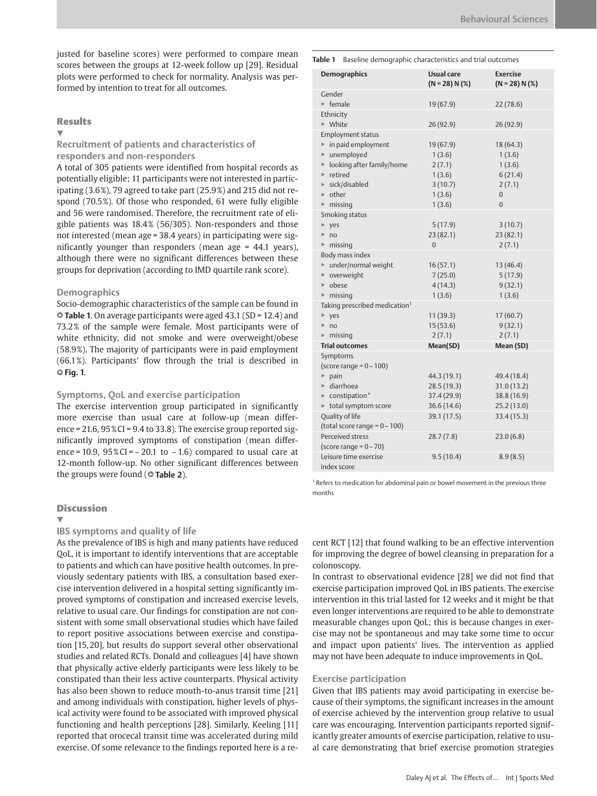justed for baseline scores) were performed to compare mean scores between the groups at 12-week follow up [29]. Residual plots were performed to check for normality. Analysis was performed by intention to treat for all outcomes.

## Results

## $\overline{\mathbf{v}}$

# Recruitment of patients and characteristics of responders and non-responders

A total of 305 patients were identified from hospital records as potentially eligible; 11 participants were not interested in participating (3.6%), 79 agreed to take part (25.9%) and 215 did not respond (70.5%). Of those who responded, 61 were fully eligible and 56 were randomised. Therefore, the recruitment rate of eligible patients was 18.4% (56/305). Non-responders and those not interested (mean age = 38.4 years) in participating were significantly younger than responders (mean age = 44.1 years), although there were no significant differences between these groups for deprivation (according to IMD quartile rank score).

# **Demographics**

Socio-demographic characteristics of the sample can be found in **Table 1.** On average participants were aged 43.1 (SD = 12.4) and 73.2% of the sample were female. Most participants were of white ethnicity, did not smoke and were overweight/obese (58.9%). The majority of participants were in paid employment (66.1%). Participants' flow through the trial is described in ◎ Fig. 1.

# Symptoms, QoL and exercise participation

The exercise intervention group participated in significantly more exercise than usual care at follow-up (mean difference = 21.6, 95%CI = 9.4 to 33.8). The exercise group reported significantly improved symptoms of constipation (mean difference =  $10.9$ ,  $95\%$ CI =  $-20.1$  to  $-1.6$ ) compared to usual care at 12-month follow-up. No other significant differences between the groups were found (O Table 2).

## Discussion

## $\overline{\mathbf{v}}$

## IBS symptoms and quality of life

As the prevalence of IBS is high and many patients have reduced QoL, it is important to identify interventions that are acceptable to patients and which can have positive health outcomes. In previously sedentary patients with IBS, a consultation based exercise intervention delivered in a hospital setting significantly improved symptoms of constipation and increased exercise levels, relative to usual care. Our findings for constipation are not consistent with some small observational studies which have failed to report positive associations between exercise and constipation [15, 20], but results do support several other observational studies and related RCTs. Donald and colleagues [4] have shown that physically active elderly participants were less likely to be constipated than their less active counterparts. Physical activity has also been shown to reduce mouth-to-anus transit time [21] and among individuals with constipation, higher levels of physical activity were found to be associated with improved physical functioning and health perceptions [28]. Similarly, Keeling [11] reported that orocecal transit time was accelerated during mild exercise. Of some relevance to the findings reported here is a reTable 1 Baseline demographic characteristics and trial outcomes

| <b>Demographics</b>                       | <b>Usual care</b><br>$(N = 28) N (\%)$ | <b>Exercise</b><br>$(N = 28) N (\%)$ |
|-------------------------------------------|----------------------------------------|--------------------------------------|
| Gender                                    |                                        |                                      |
| $\triangleright$ female                   | 19(67.9)                               | 22(78.6)                             |
| Ethnicity                                 |                                        |                                      |
| $\triangleright$ White                    | 26(92.9)                               | 26(92.9)                             |
| <b>Employment status</b>                  |                                        |                                      |
| $\triangleright$ in paid employment       | 19(67.9)                               | 18(64.3)                             |
| ► unemployed                              | 1(3.6)                                 | 1(3.6)                               |
| • looking after family/home               | 2(7.1)                                 | 1(3.6)                               |
| $\triangleright$ retired                  | 1(3.6)                                 | 6(21.4)                              |
| $\triangleright$ sick/disabled            | 3(10.7)                                | 2(7.1)                               |
| $\triangleright$ other                    | 1(3.6)                                 | $\mathbf{0}$                         |
| $\blacktriangleright$ missing             | 1(3.6)                                 | $\Omega$                             |
| Smoking status                            |                                        |                                      |
| $\rightharpoonup$ yes                     | 5(17.9)                                | 3(10.7)                              |
| $\triangleright$ no                       | 23(82.1)                               | 23(82.1)                             |
| $\triangleright$ missing                  | $\overline{0}$                         | 2(7.1)                               |
| Body mass index                           |                                        |                                      |
| ► under/normal weight                     | 16(57.1)                               | 13(46.4)                             |
| verweight                                 | 7(25.0)                                | 5(17.9)                              |
| $\triangleright$ obese                    | 4(14.3)                                | 9(32.1)                              |
| $\blacktriangleright$ missing             | 1(3.6)                                 | 1(3.6)                               |
| Taking prescribed medication <sup>1</sup> |                                        |                                      |
| $\rightharpoonup$ yes                     | 11(39.3)                               | 17(60.7)                             |
| $\rightharpoonup$ no                      | 15 (53.6)                              | 9(32.1)                              |
| $\blacktriangleright$ missing             | 2(7.1)                                 | 2(7.1)                               |
| <b>Trial outcomes</b>                     | Mean(SD)                               | Mean (SD)                            |
| Symptoms                                  |                                        |                                      |
| (score range = $0 - 100$ )                |                                        |                                      |
| $\rightharpoonup$ pain                    | 44.3 (19.1)                            | 49.4 (18.4)                          |
| ► diarrhoea                               | 28.5(19.3)                             | 31.0(13.2)                           |
| $\triangleright$ constipation*            | 37.4 (29.9)                            | 38.8 (16.9)                          |
| total symptom score                       | 36.6(14.6)                             | 25.2(13.0)                           |
| Quality of life                           | 39.1 (17.5)                            | 33.4(15.3)                           |
| (total score range = $0 - 100$ )          |                                        |                                      |
| Perceived stress                          | 28.7(7.8)                              | 23.0(6.8)                            |
| $(score range = 0 - 70)$                  |                                        |                                      |
| Leisure time exercise                     | 9.5(10.4)                              | 8.9(8.5)                             |
| index score                               |                                        |                                      |
|                                           |                                        |                                      |

<sup>1</sup> Refers to medication for abdominal pain or bowel movement in the previous three months

cent RCT [12] that found walking to be an effective intervention for improving the degree of bowel cleansing in preparation for a colonoscopy.

In contrast to observational evidence [28] we did not find that exercise participation improved QoL in IBS patients. The exercise intervention in this trial lasted for 12 weeks and it might be that even longer interventions are required to be able to demonstrate measurable changes upon QoL; this is because changes in exercise may not be spontaneous and may take some time to occur and impact upon patients' lives. The intervention as applied may not have been adequate to induce improvements in QoL.

## Exercise participation

Given that IBS patients may avoid participating in exercise because of their symptoms, the significant increases in the amount of exercise achieved by the intervention group relative to usual care was encouraging. Intervention participants reported significantly greater amounts of exercise participation, relative to usual care demonstrating that brief exercise promotion strategies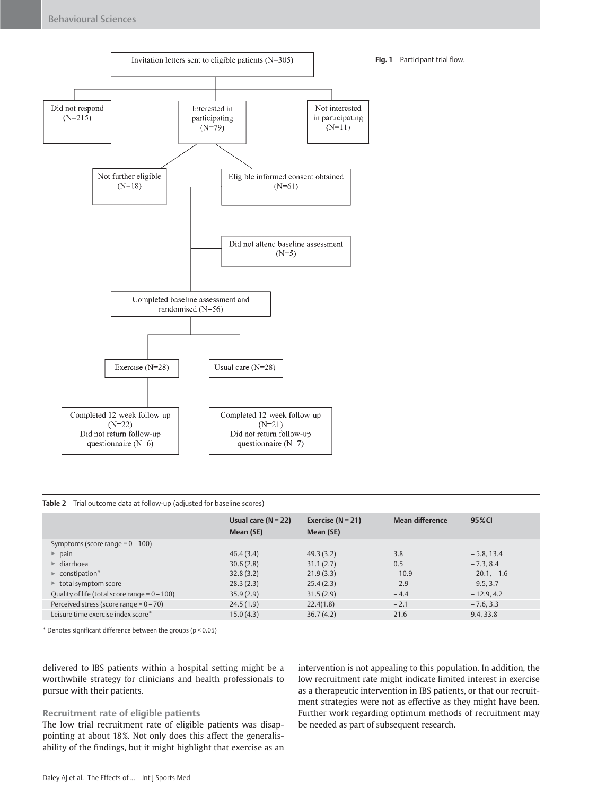

## Table 2 Trial outcome data at follow-up (adjusted for baseline scores)

|                                                  | Usual care $(N = 22)$<br>Mean (SE) | Exercise ( $N = 21$ )<br>Mean (SE) | <b>Mean difference</b> | 95%CI         |
|--------------------------------------------------|------------------------------------|------------------------------------|------------------------|---------------|
| Symptoms (score range = $0 - 100$ )              |                                    |                                    |                        |               |
| $\rightharpoonup$ pain                           | 46.4(3.4)                          | 49.3(3.2)                          | 3.8                    | $-5.8, 13.4$  |
| $\triangleright$ diarrhoea                       | 30.6(2.8)                          | 31.1(2.7)                          | 0.5                    | $-7.3.8.4$    |
| $\triangleright$ constipation*                   | 32.8(3.2)                          | 21.9(3.3)                          | $-10.9$                | $-20.1 - 1.6$ |
| ► total symptom score                            | 28.3(2.3)                          | 25.4(2.3)                          | $-2.9$                 | $-9.5, 3.7$   |
| Quality of life (total score range = $0 - 100$ ) | 35.9(2.9)                          | 31.5(2.9)                          | $-4.4$                 | $-12.9.4.2$   |
| Perceived stress (score range = $0 - 70$ )       | 24.5(1.9)                          | 22.4(1.8)                          | $-2.1$                 | $-7.6, 3.3$   |
| Leisure time exercise index score*               | 15.0(4.3)                          | 36.7(4.2)                          | 21.6                   | 9.4, 33.8     |

\* Denotes significant difference between the groups (p < 0.05)

delivered to IBS patients within a hospital setting might be a worthwhile strategy for clinicians and health professionals to pursue with their patients.

# Recruitment rate of eligible patients

The low trial recruitment rate of eligible patients was disappointing at about 18%. Not only does this affect the generalisability of the findings, but it might highlight that exercise as an

intervention is not appealing to this population. In addition, the low recruitment rate might indicate limited interest in exercise as a therapeutic intervention in IBS patients, or that our recruitment strategies were not as effective as they might have been. Further work regarding optimum methods of recruitment may be needed as part of subsequent research.